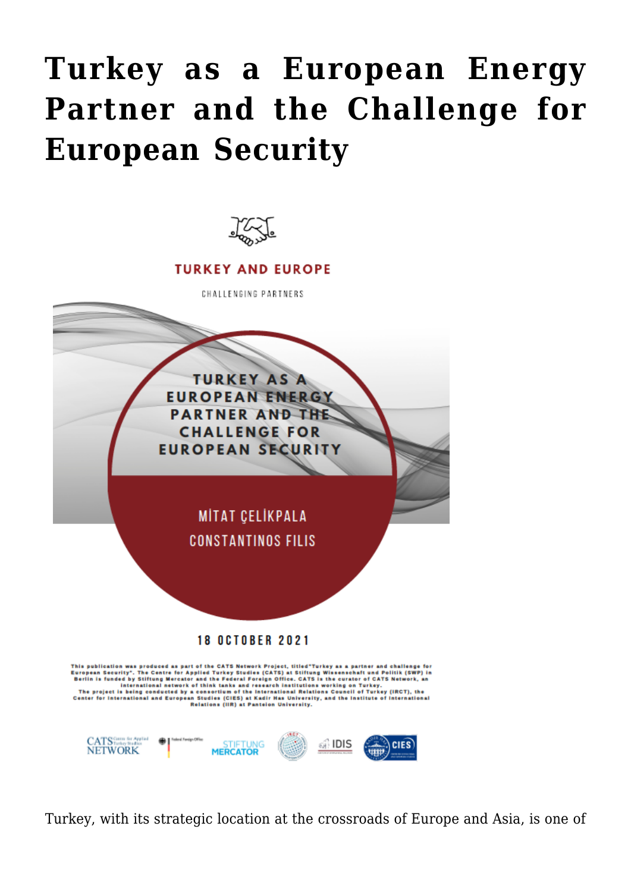## **[Turkey as a European Energy](https://www.uikpanorama.com/blog/2021/10/30/turkey-as-a-european-energy-partner-and-the-challenge-for-european-security/) [Partner and the Challenge for](https://www.uikpanorama.com/blog/2021/10/30/turkey-as-a-european-energy-partner-and-the-challenge-for-european-security/) [European Security](https://www.uikpanorama.com/blog/2021/10/30/turkey-as-a-european-energy-partner-and-the-challenge-for-european-security/)**



Turkey, with its strategic location at the crossroads of Europe and Asia, is one of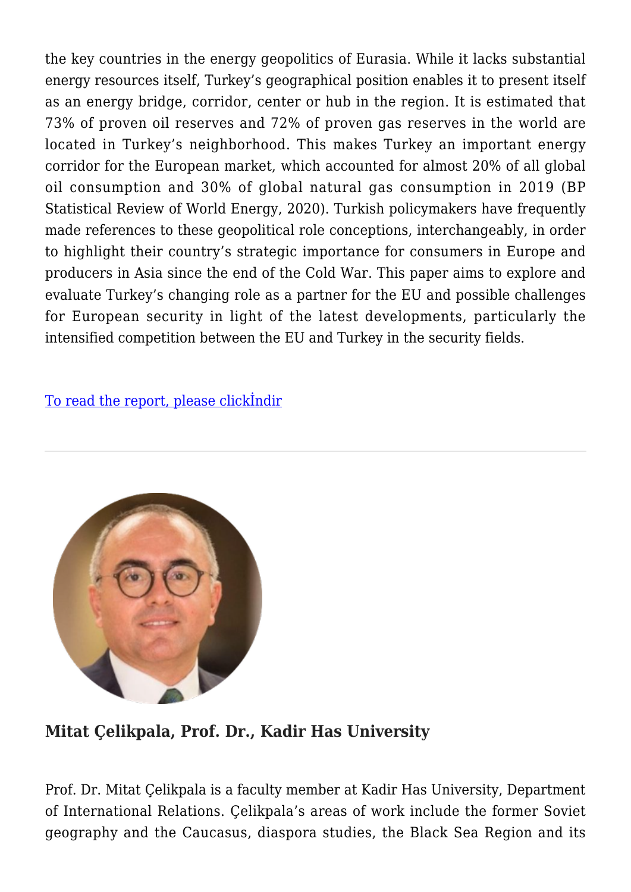the key countries in the energy geopolitics of Eurasia. While it lacks substantial energy resources itself, Turkey's geographical position enables it to present itself as an energy bridge, corridor, center or hub in the region. It is estimated that 73% of proven oil reserves and 72% of proven gas reserves in the world are located in Turkey's neighborhood. This makes Turkey an important energy corridor for the European market, which accounted for almost 20% of all global oil consumption and 30% of global natural gas consumption in 2019 (BP Statistical Review of World Energy, 2020). Turkish policymakers have frequently made references to these geopolitical role conceptions, interchangeably, in order to highlight their country's strategic importance for consumers in Europe and producers in Asia since the end of the Cold War. This paper aims to explore and evaluate Turkey's changing role as a partner for the EU and possible challenges for European security in light of the latest developments, particularly the intensified competition between the EU and Turkey in the security fields.

[To read the report, please clickİndir](https://www.uikpanorama.com/wp-content/uploads/2021/10/CATS-Turkey-as-a-European-Energy-Partner-and-The-Challenge-for-European-Security_final_25.10.pdf)



## **Mitat Çelikpala, Prof. Dr., Kadir Has University**

Prof. Dr. Mitat Çelikpala is a faculty member at Kadir Has University, Department of International Relations. Çelikpala's areas of work include the former Soviet geography and the Caucasus, diaspora studies, the Black Sea Region and its